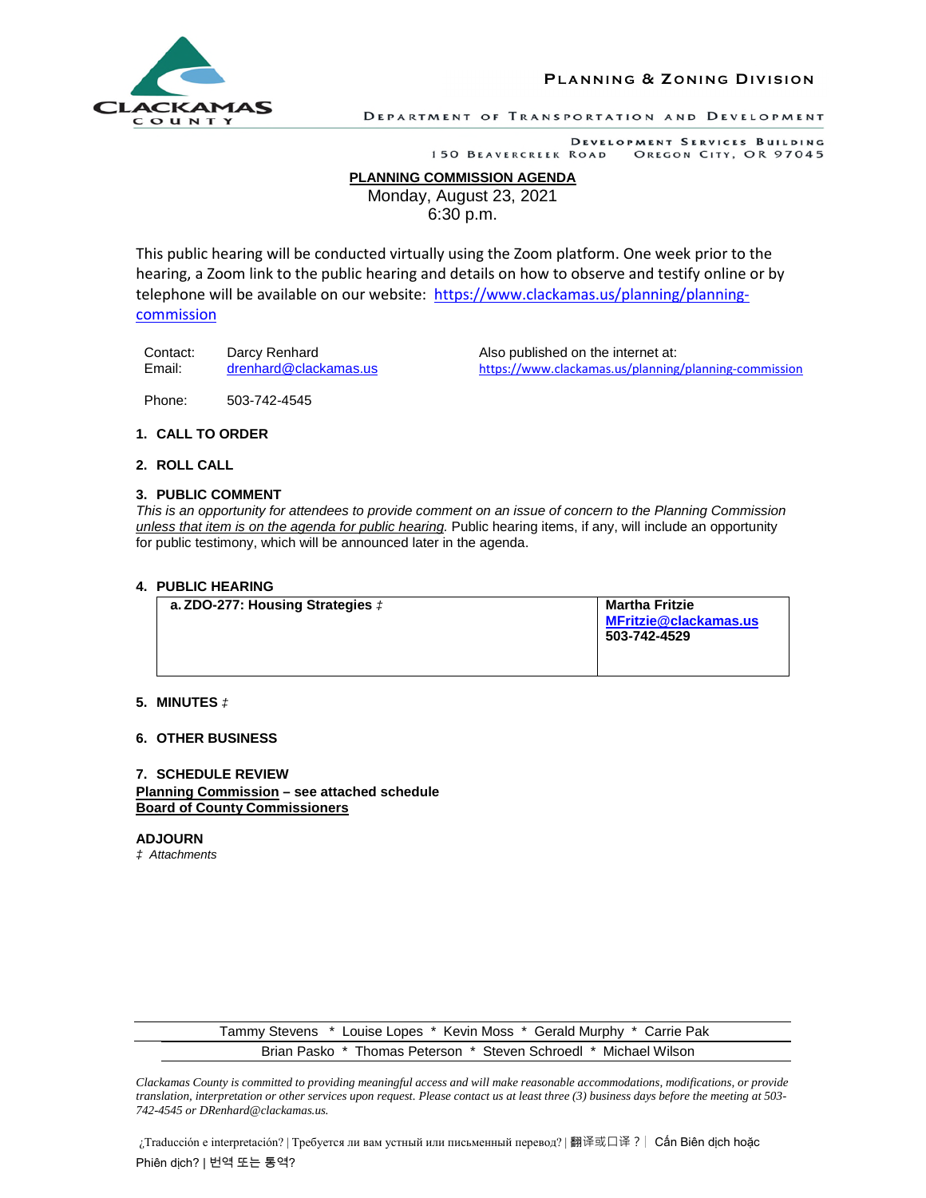

**PL A N N I N G & Z O N I N G DI V I S I O N**

DEPARTMENT OF TRANSPORTATION AND DEVELOPMENT

#### DEVELOPMENT SERVICES BUILDING 150 BEAVERCREEK ROAD OREGON CITY, OR 97045

# **PLANNING COMMISSION AGENDA**

Monday, August 23, 2021

6:30 p.m.

This public hearing will be conducted virtually using the Zoom platform. One week prior to the hearing, a Zoom link to the public hearing and details on how to observe and testify online or by telephone will be available on our website: https://www.clackamas.us/planning/planningcommission

Contact: Darcy Renhard Also published on the internet at:

Email: drenhard@clackamas.us https://www.clackamas.us/planning/planning-commission

Phone: 503-742-4545

# **1. CALL TO ORDER**

# **2. ROLL CALL**

### **3. PUBLIC COMMENT**

*This is an opportunity for attendees to provide comment on an issue of concern to the Planning Commission unless that item is on the agenda for public hearing.* Public hearing items, if any, will include an opportunity for public testimony, which will be announced later in the agenda.

### **4. PUBLIC HEARING**

| a. ZDO-277: Housing Strategies $\ddagger$ | <b>Martha Fritzie</b><br><b>MFritzie@clackamas.us</b><br>503-742-4529 |
|-------------------------------------------|-----------------------------------------------------------------------|
|                                           |                                                                       |

# **5. MINUTES** *‡*

# **6. OTHER BUSINESS**

### **7. SCHEDULE REVIEW Planning Commission – see attached schedule Board of County Commissioners**

**ADJOURN**  *‡ Attachments* 

> Tammy Stevens \* Louise Lopes \* Kevin Moss \* Gerald Murphy \* Carrie Pak Brian Pasko \* Thomas Peterson \* Steven Schroedl \* Michael Wilson

*Clackamas County is committed to providing meaningful access and will make reasonable accommodations, modifications, or provide translation, interpretation or other services upon request. Please contact us at least three (3) business days before the meeting at 503- 742-4545 or DRenhard@clackamas.us.* 

¿Traducción e interpretación? | Требуется ли вам устный или письменный перевод? | 翻译或口译?| Cấn Biên dịch hoặc Phiên dịch? | 번역 또는 통역?